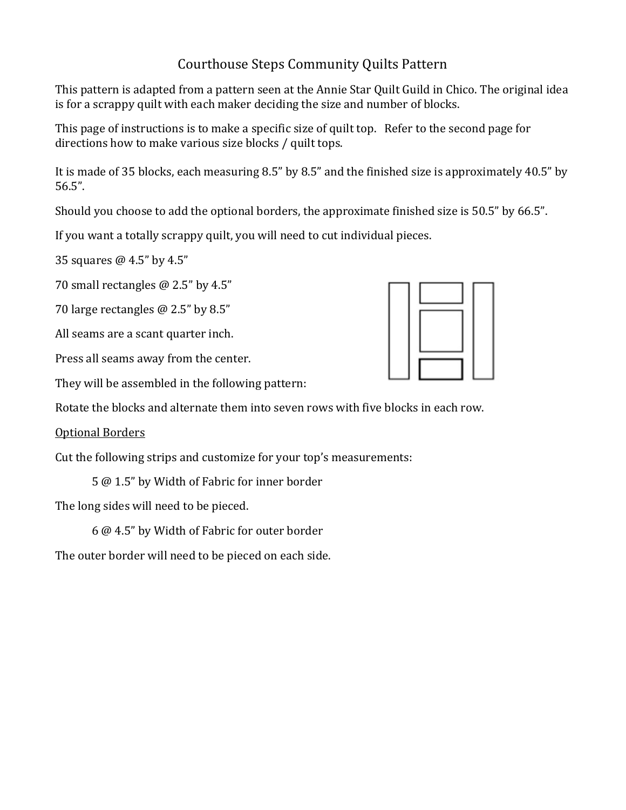## Courthouse Steps Community Quilts Pattern

This pattern is adapted from a pattern seen at the Annie Star Quilt Guild in Chico. The original idea is for a scrappy quilt with each maker deciding the size and number of blocks.

This page of instructions is to make a specific size of quilt top. Refer to the second page for directions how to make various size blocks / quilt tops.

It is made of 35 blocks, each measuring  $8.5$ " by  $8.5$ " and the finished size is approximately  $40.5$ " by 56.5".

Should you choose to add the optional borders, the approximate finished size is 50.5" by 66.5".

If you want a totally scrappy quilt, you will need to cut individual pieces.

35 squares  $@$  4.5" by 4.5"

70 small rectangles  $@$  2.5" by 4.5"

70 large rectangles  $@$  2.5" by 8.5"

All seams are a scant quarter inch.

Press all seams away from the center.

They will be assembled in the following pattern:

Rotate the blocks and alternate them into seven rows with five blocks in each row.

**Optional Borders** 

Cut the following strips and customize for your top's measurements:

5 @ 1.5" by Width of Fabric for inner border

The long sides will need to be pieced.

6 @ 4.5" by Width of Fabric for outer border

The outer border will need to be pieced on each side.